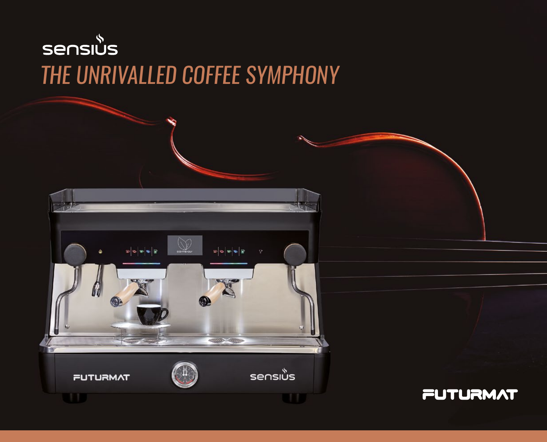# sensius *THE UNRIVALLED COFFEE SYMPHONY*



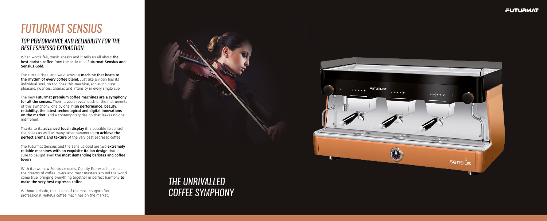# *FUTURMAT SENSIUS*

When words fail, music speaks and it tells us all about **the best barista coffee** from the acclaimed **Futurmat Sensius and Sensius Gold.**

The curtain rises, and we discover a **machine that beats to the rhythm of every coffee blend.** Just like a violin has its individual soul, so too does this machine, achieving pure pleasure, nuances, aromas and intensity in every single cup.

The new **Futurmat premium coffee machines are a symphony for all the senses.** Their flavours reveal each of the instruments of this symphony, one by one: **high performance, beauty, reliability, the latest technological and digital innovations on the market** and a contemporary design that leaves no one indifferent.

Thanks to its **advanced touch display** it is possible to control the doses as well as many other parameters **to achieve the perfect aroma and texture** of the very best espresso coffee.

The Futurmat Sensius and the Sensius Gold are two **extremely reliable machines with an exquisite Italian design** that is sure to delight even **the most demanding baristas and coffee lovers**.

With its two new Sensius models, Quality Espresso has made the dreams of coffee lovers and roast masters around the world come true, bringing everything together in perfect harmony **to make the very best espresso coffee**.

Without a doubt, this is one of the most sought-after professional HoReCa coffee machines on the market.

### *TOP PERFORMANCE AND RELIABILITY FOR THE BEST ESPRESSO EXTRACTION*

## *THE UNRIVALLED COFFEE SYMPHONY*



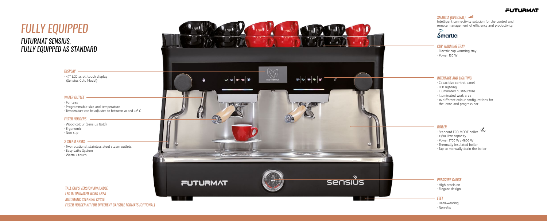## *FULLY EQUIPPED FUTURMAT SENSIUS, FULLY EQUIPPED AS STANDARD*

#### *INTERFACE AND LIGHTING*

#### *CUP WARMING TRAY*

#### *WATER OUTLET*

*DISPLAY*

#### *FILTER HOLDERS*

#### *2 STEAM ARMS*

#### *BOILER*

### *PRESSURE GAUGE*

- · Capacitive control panel
- · LED lighting
- · Illuminated pushbuttons
- · Illuminated work area
- · 16 different colour configurations for
- the icons and progress bar

- $\mathbb{Z}$ · Standard ECO MODE boiler
- · 13/18 litre capacity
- · Power 3700 W / 4800 W
- · Thermally insulated boiler
- · Tap to manually drain the boiler

· For teas · Programmable size and temperature  $\cdot$  Temperature can be adjusted to between 78 and 98° C

· Two rotational stainless steel steam outlets · Easy Latte System

· Warm 2 touch



Intelligent connectivity solution for the control and remote management of efficiency and productivity.



- · High precision
- · Elegant design

· Wood colour (Sensius Gold)

- · Ergonomic
- · Non-slip
- · Electric cup warming tray
- · Power 130 W

· 4.7" LCD scroll touch display

#### (Sensius Gold Model)



*TALL CUPS VERSION AVAILABLE LED ILLUMINATED WORK AREA AUTOMATIC CLEANING CYCLE FILTER HOLDER KIT FOR DIFFERENT CAPSULE FORMATS (OPTIONAL)*



#### *FEET*

- · Hard-wearing
- · Non-slip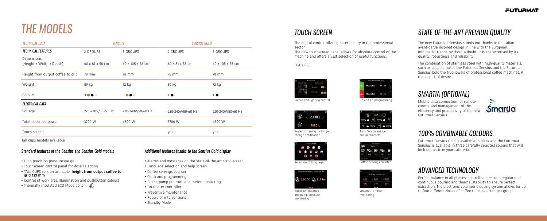# *THE MODELS*

### *Standard features of the Sensius and Sensius Gold models Additional features thanks to the Sensius Gold display*

- High precision pressure gauge
- Touchscreen control panel for dose selection
- TALL CUPS version available, **height from output coffee to grid 123 mm**
- Control of work area illumination and pushbutton colours
- Thermally insulated ECO Mode boiler

### *TOUCH SCREEN STATE-OF-THE-ART PREMIUM QUALITY*

### *SMARTIA (OPTIONAL)*

### *100% COMBINABLE COLOURS.*

### *ADVANCED TECHNOLOGY*

- Alarms and messages on the state-of-the-art scroll screen
- Language selection and help screen
- Coffee servings counter
- Clock and programming
- Boiler, pump pressure and meter monitoring
- Parameter controller
- Preventive maintenance
- Record of interventions
- Standby Mode

The new Futurmat Sensius stands out thanks to its Italian avant-garde inspired design in line with the European minimalist trends. Without a doubt, it is characterised by its quality, robustness and reliability.

The combination of stainless steel with high-quality materials, such as copper, makes the Futurmat Sensius and the Futurmat Sensius Gold the true jewels of professional coffee machines. A real object of desire.

The digital control offers greater quality in the professional

sector.

The new touchscreen panel allows for absolute control of the machine and offers a vast selection of useful functions.



FEATURES



Colour and lighting control **Colour and Lighting** control

Mobile data connection for remote control and management of the efficiency and productivity of the new Futurmat Sensius.

Futurmat Sensius Gold is available in black and the Futurmat Sensius is available in three carefully selected colours that will look fantastic in your cafeteria.

Perfect balance in all phases: controlled pressure, regular and continuous pouring and thermal stability to ensure perfect extraction. The electronic volumetric dosing system allows for up to four different doses of coffee to be selected per group.



| × | Monitorizar<br>Contadores volumétricos |     |  |  |
|---|----------------------------------------|-----|--|--|
|   |                                        |     |  |  |
|   | 300                                    | 385 |  |  |

Volumetric meter monitoring



Water softening cartridge change notification



Selection of languages **Coffee** servings counter





Transfer screensaver and parameters



Boiler temperature and pump pressure monitoring



Tall cups models available

| <b>TECHNICAL DATA</b>                  | <b>SENSIUS</b>    |                   | <b>SENSIUS GOLD</b> |                   |
|----------------------------------------|-------------------|-------------------|---------------------|-------------------|
| <b>TECHNICAL FEATURES</b>              | 2 GROUPS          | 3 GROUPS          | 2 GROUPS            | 3 GROUPS          |
| Dimensions<br>(Height x Width x Depth) | 60 x 81 x 58 cm   | 60 x 105 x 58 cm  | 60 x 81 x 58 cm     | 60 x 105 x 58 cm  |
| Height from output coffee to grid      | 78 mm             | 78 mm             | 78 mm               | 78 mm             |
| Weight                                 | 59 kg             | 72 kg             | 59 kg               | 72 kg             |
| Colours                                | 3000              | 3000              | $1$ $\bullet$       | $1$ $\bullet$     |
| <b>ELECTRICAL DATA</b>                 |                   |                   |                     |                   |
| Voltage                                | 220-240V/50-60 Hz | 220-240V/50-60 Hz | 220-240V/50-60 Hz   | 220-240V/50-60 Hz |
| Total absorbed power                   | 3700 W            | 4800 W            | 3700 W              | 4800 W            |
| Touch screen                           |                   |                   | yes                 | yes               |